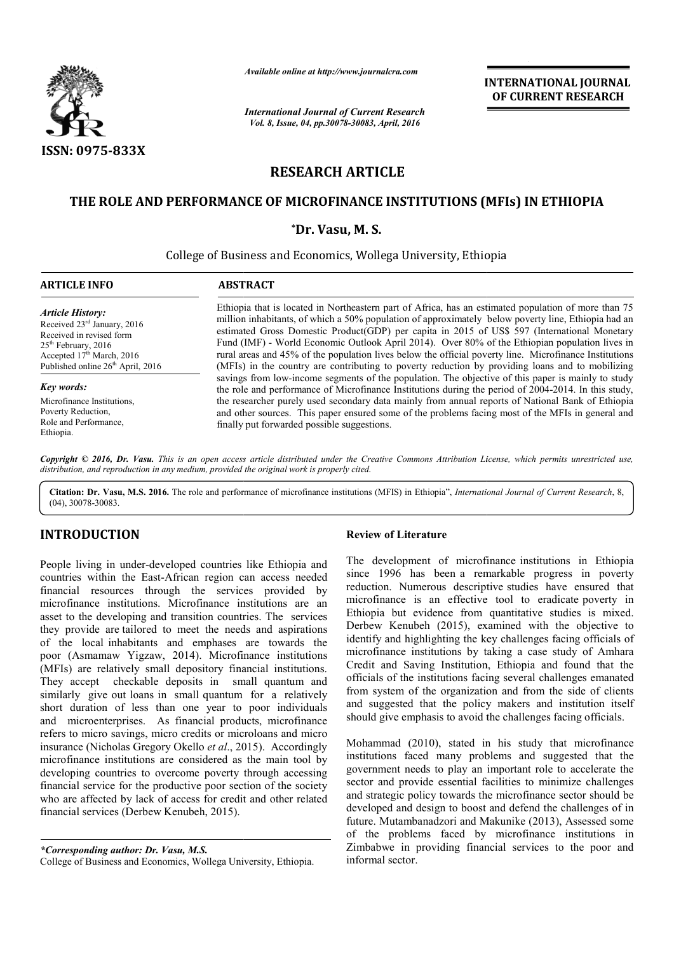

*Available online at http://www.journalcra.com*

# **RESEARCH ARTICLE**

# THE ROLE AND PERFORMANCE OF MICROFINANCE INSTITUTIONS (MFIs) IN ETHIOPIA

# **\*Dr. Vasu, M. S.**

|                                                                                                                                                                                                                                                                                                                                                                                                                                                                                                                                                                                                                                                                                                                                                                                                                                                                                         |                                                                                                                                                                                                                                                                                                                                                                                                                                                                                                                                                                                                                                                                                                                                   | <b>INTERNATIONAL JOURNAL</b><br>OF CURRENT RESEARCH                                                                                                                                                                                                                                                                                                                                                                                                                                                                                                                                                                                                                                                                                                                                                                                   |  |  |  |  |
|-----------------------------------------------------------------------------------------------------------------------------------------------------------------------------------------------------------------------------------------------------------------------------------------------------------------------------------------------------------------------------------------------------------------------------------------------------------------------------------------------------------------------------------------------------------------------------------------------------------------------------------------------------------------------------------------------------------------------------------------------------------------------------------------------------------------------------------------------------------------------------------------|-----------------------------------------------------------------------------------------------------------------------------------------------------------------------------------------------------------------------------------------------------------------------------------------------------------------------------------------------------------------------------------------------------------------------------------------------------------------------------------------------------------------------------------------------------------------------------------------------------------------------------------------------------------------------------------------------------------------------------------|---------------------------------------------------------------------------------------------------------------------------------------------------------------------------------------------------------------------------------------------------------------------------------------------------------------------------------------------------------------------------------------------------------------------------------------------------------------------------------------------------------------------------------------------------------------------------------------------------------------------------------------------------------------------------------------------------------------------------------------------------------------------------------------------------------------------------------------|--|--|--|--|
|                                                                                                                                                                                                                                                                                                                                                                                                                                                                                                                                                                                                                                                                                                                                                                                                                                                                                         | <b>International Journal of Current Research</b><br>Vol. 8, Issue, 04, pp.30078-30083, April, 2016                                                                                                                                                                                                                                                                                                                                                                                                                                                                                                                                                                                                                                |                                                                                                                                                                                                                                                                                                                                                                                                                                                                                                                                                                                                                                                                                                                                                                                                                                       |  |  |  |  |
| ISSN: 0975-833X                                                                                                                                                                                                                                                                                                                                                                                                                                                                                                                                                                                                                                                                                                                                                                                                                                                                         |                                                                                                                                                                                                                                                                                                                                                                                                                                                                                                                                                                                                                                                                                                                                   |                                                                                                                                                                                                                                                                                                                                                                                                                                                                                                                                                                                                                                                                                                                                                                                                                                       |  |  |  |  |
|                                                                                                                                                                                                                                                                                                                                                                                                                                                                                                                                                                                                                                                                                                                                                                                                                                                                                         |                                                                                                                                                                                                                                                                                                                                                                                                                                                                                                                                                                                                                                                                                                                                   | <b>RESEARCH ARTICLE</b>                                                                                                                                                                                                                                                                                                                                                                                                                                                                                                                                                                                                                                                                                                                                                                                                               |  |  |  |  |
|                                                                                                                                                                                                                                                                                                                                                                                                                                                                                                                                                                                                                                                                                                                                                                                                                                                                                         |                                                                                                                                                                                                                                                                                                                                                                                                                                                                                                                                                                                                                                                                                                                                   | THE ROLE AND PERFORMANCE OF MICROFINANCE INSTITUTIONS (MFIs) IN ETHIOPIA                                                                                                                                                                                                                                                                                                                                                                                                                                                                                                                                                                                                                                                                                                                                                              |  |  |  |  |
|                                                                                                                                                                                                                                                                                                                                                                                                                                                                                                                                                                                                                                                                                                                                                                                                                                                                                         | *Dr. Vasu, M. S.                                                                                                                                                                                                                                                                                                                                                                                                                                                                                                                                                                                                                                                                                                                  |                                                                                                                                                                                                                                                                                                                                                                                                                                                                                                                                                                                                                                                                                                                                                                                                                                       |  |  |  |  |
|                                                                                                                                                                                                                                                                                                                                                                                                                                                                                                                                                                                                                                                                                                                                                                                                                                                                                         |                                                                                                                                                                                                                                                                                                                                                                                                                                                                                                                                                                                                                                                                                                                                   | College of Business and Economics, Wollega University, Ethiopia                                                                                                                                                                                                                                                                                                                                                                                                                                                                                                                                                                                                                                                                                                                                                                       |  |  |  |  |
| <b>ARTICLE INFO</b>                                                                                                                                                                                                                                                                                                                                                                                                                                                                                                                                                                                                                                                                                                                                                                                                                                                                     | <b>ABSTRACT</b>                                                                                                                                                                                                                                                                                                                                                                                                                                                                                                                                                                                                                                                                                                                   |                                                                                                                                                                                                                                                                                                                                                                                                                                                                                                                                                                                                                                                                                                                                                                                                                                       |  |  |  |  |
| <b>Article History:</b><br>Received 23rd January, 2016<br>Received in revised form<br>25 <sup>th</sup> February, 2016<br>Accepted 17 <sup>th</sup> March, 2016<br>Published online 26 <sup>th</sup> April, 2016                                                                                                                                                                                                                                                                                                                                                                                                                                                                                                                                                                                                                                                                         | Ethiopia that is located in Northeastern part of Africa, has an estimated population of more than 75<br>million inhabitants, of which a 50% population of approximately below poverty line, Ethiopia had an<br>estimated Gross Domestic Product(GDP) per capita in 2015 of US\$ 597 (International Monetary<br>Fund (IMF) - World Economic Outlook April 2014). Over 80% of the Ethiopian population lives in<br>rural areas and 45% of the population lives below the official poverty line. Microfinance Institutions<br>(MFIs) in the country are contributing to poverty reduction by providing loans and to mobilizing<br>savings from low-income segments of the population. The objective of this paper is mainly to study |                                                                                                                                                                                                                                                                                                                                                                                                                                                                                                                                                                                                                                                                                                                                                                                                                                       |  |  |  |  |
| Key words:<br>Microfinance Institutions,<br>Poverty Reduction,<br>Role and Performance,<br>Ethiopia.                                                                                                                                                                                                                                                                                                                                                                                                                                                                                                                                                                                                                                                                                                                                                                                    | the role and performance of Microfinance Institutions during the period of 2004-2014. In this study,<br>the researcher purely used secondary data mainly from annual reports of National Bank of Ethiopia<br>and other sources. This paper ensured some of the problems facing most of the MFIs in general and<br>finally put forwarded possible suggestions.                                                                                                                                                                                                                                                                                                                                                                     |                                                                                                                                                                                                                                                                                                                                                                                                                                                                                                                                                                                                                                                                                                                                                                                                                                       |  |  |  |  |
|                                                                                                                                                                                                                                                                                                                                                                                                                                                                                                                                                                                                                                                                                                                                                                                                                                                                                         | distribution, and reproduction in any medium, provided the original work is properly cited.                                                                                                                                                                                                                                                                                                                                                                                                                                                                                                                                                                                                                                       | Copyright © 2016, Dr. Vasu. This is an open access article distributed under the Creative Commons Attribution License, which permits unrestricted use,                                                                                                                                                                                                                                                                                                                                                                                                                                                                                                                                                                                                                                                                                |  |  |  |  |
| $(04)$ , 30078-30083.                                                                                                                                                                                                                                                                                                                                                                                                                                                                                                                                                                                                                                                                                                                                                                                                                                                                   |                                                                                                                                                                                                                                                                                                                                                                                                                                                                                                                                                                                                                                                                                                                                   | Citation: Dr. Vasu, M.S. 2016. The role and performance of microfinance institutions (MFIS) in Ethiopia", International Journal of Current Research, 8,                                                                                                                                                                                                                                                                                                                                                                                                                                                                                                                                                                                                                                                                               |  |  |  |  |
| <b>INTRODUCTION</b>                                                                                                                                                                                                                                                                                                                                                                                                                                                                                                                                                                                                                                                                                                                                                                                                                                                                     |                                                                                                                                                                                                                                                                                                                                                                                                                                                                                                                                                                                                                                                                                                                                   | <b>Review of Literature</b>                                                                                                                                                                                                                                                                                                                                                                                                                                                                                                                                                                                                                                                                                                                                                                                                           |  |  |  |  |
| People living in under-developed countries like Ethiopia and<br>countries within the East-African region can access needed<br>financial resources through the services provided by<br>microfinance institutions. Microfinance institutions are an<br>asset to the developing and transition countries. The services<br>they provide are tailored to meet the needs and aspirations<br>of the local inhabitants and emphases are towards the<br>poor (Asmamaw Yigzaw, 2014). Microfinance institutions<br>(MFIs) are relatively small depository financial institutions.<br>They accept checkable deposits in small quantum and<br>similarly give out loans in small quantum for a relatively<br>short duration of less than one year to poor individuals<br>and microenterprises. As financial products, microfinance<br>refers to micro savings, micro credits or microloans and micro |                                                                                                                                                                                                                                                                                                                                                                                                                                                                                                                                                                                                                                                                                                                                   | The development of microfinance institutions in Ethiopia<br>since 1996 has been a remarkable progress in poverty<br>reduction. Numerous descriptive studies have ensured that<br>microfinance is an effective tool to eradicate poverty in<br>Ethiopia but evidence from quantitative studies is mixed.<br>Derbew Kenubeh (2015), examined with the objective to<br>identify and highlighting the key challenges facing officials of<br>microfinance institutions by taking a case study of Amhara<br>Credit and Saving Institution, Ethiopia and found that the<br>officials of the institutions facing several challenges emanated<br>from system of the organization and from the side of clients<br>and suggested that the policy makers and institution itself<br>should give emphasis to avoid the challenges facing officials. |  |  |  |  |
| insurance (Nicholas Gregory Okello et al., 2015). Accordingly<br>microfinance institutions are considered as the main tool by<br>developing countries to overcome poverty through accessing<br>financial service for the productive poor section of the society<br>who are affected by lack of access for credit and other related<br>financial services (Derbew Kenubeh, 2015).                                                                                                                                                                                                                                                                                                                                                                                                                                                                                                        |                                                                                                                                                                                                                                                                                                                                                                                                                                                                                                                                                                                                                                                                                                                                   | Mohammad (2010), stated in his study that microfinance<br>institutions faced many problems and suggested that the<br>government needs to play an important role to accelerate the<br>sector and provide essential facilities to minimize challenges<br>and strategic policy towards the microfinance sector should be<br>developed and design to boost and defend the challenges of in<br>future. Mutambanadzori and Makunike (2013), Assessed some<br>of the problems faced by microfinance institutions in                                                                                                                                                                                                                                                                                                                          |  |  |  |  |
| *Corresponding author: Dr. Vasu, M.S.                                                                                                                                                                                                                                                                                                                                                                                                                                                                                                                                                                                                                                                                                                                                                                                                                                                   |                                                                                                                                                                                                                                                                                                                                                                                                                                                                                                                                                                                                                                                                                                                                   | Zimbabwe in providing financial services to the poor and                                                                                                                                                                                                                                                                                                                                                                                                                                                                                                                                                                                                                                                                                                                                                                              |  |  |  |  |

# **INTRODUCTION**

*\*Corresponding author: Dr. Vasu, M.S.* College of Business and Economics, Wollega University, Ethiopia.

Mohammad (2010), stated in his study that microfinance institutions faced many problems and suggested that the government needs to play an important role to accelerate the sector and provide essential facilities to minimize challenges institutions faced many problems and suggested that the government needs to play an important role to accelerate the sector and provide essential facilities to minimize challenges and strategic policy towards the microfina developed and design to boost and defend the challenges of in future. Mutambanadzori and Makunike (2013), Assessed some of the problems faced by microfinance institutions in Zimbabwe in providing financial services to the poor and informal sector.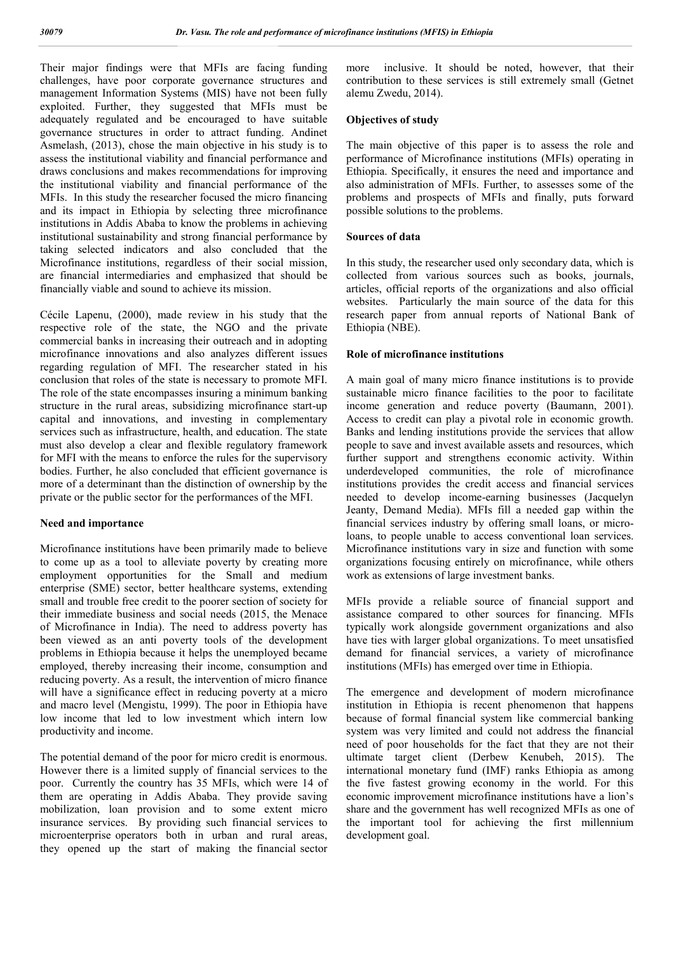Their major findings were that MFIs are facing funding challenges, have poor corporate governance structures and management Information Systems (MIS) have not been fully exploited. Further, they suggested that MFIs must be adequately regulated and be encouraged to have suitable governance structures in order to attract funding. Andinet Asmelash, (2013), chose the main objective in his study is to assess the institutional viability and financial performance and draws conclusions and makes recommendations for improving the institutional viability and financial performance of the MFIs. In this study the researcher focused the micro financing and its impact in Ethiopia by selecting three microfinance institutions in Addis Ababa to know the problems in achieving institutional sustainability and strong financial performance by taking selected indicators and also concluded that the Microfinance institutions, regardless of their social mission, are financial intermediaries and emphasized that should be financially viable and sound to achieve its mission.

Cécile Lapenu, (2000), made review in his study that the respective role of the state, the NGO and the private commercial banks in increasing their outreach and in adopting microfinance innovations and also analyzes different issues regarding regulation of MFI. The researcher stated in his conclusion that roles of the state is necessary to promote MFI. The role of the state encompasses insuring a minimum banking structure in the rural areas, subsidizing microfinance start-up capital and innovations, and investing in complementary services such as infrastructure, health, and education. The state must also develop a clear and flexible regulatory framework for MFI with the means to enforce the rules for the supervisory bodies. Further, he also concluded that efficient governance is more of a determinant than the distinction of ownership by the private or the public sector for the performances of the MFI.

#### **Need and importance**

Microfinance institutions have been primarily made to believe to come up as a tool to alleviate poverty by creating more employment opportunities for the Small and medium enterprise (SME) sector, better healthcare systems, extending small and trouble free credit to the poorer section of society for their immediate business and social needs (2015, the Menace of Microfinance in India). The need to address poverty has been viewed as an anti poverty tools of the development problems in Ethiopia because it helps the unemployed became employed, thereby increasing their income, consumption and reducing poverty. As a result, the intervention of micro finance will have a significance effect in reducing poverty at a micro and macro level (Mengistu, 1999). The poor in Ethiopia have low income that led to low investment which intern low productivity and income.

The potential demand of the poor for micro credit is enormous. However there is a limited supply of financial services to the poor. Currently the country has 35 MFIs, which were 14 of them are operating in Addis Ababa. They provide saving mobilization, loan provision and to some extent micro insurance services. By providing such financial services to microenterprise operators both in urban and rural areas, they opened up the start of making the financial sector more inclusive. It should be noted, however, that their contribution to these services is still extremely small (Getnet alemu Zwedu, 2014).

#### **Objectives of study**

The main objective of this paper is to assess the role and performance of Microfinance institutions (MFIs) operating in Ethiopia. Specifically, it ensures the need and importance and also administration of MFIs. Further, to assesses some of the problems and prospects of MFIs and finally, puts forward possible solutions to the problems.

#### **Sources of data**

In this study, the researcher used only secondary data, which is collected from various sources such as books, journals, articles, official reports of the organizations and also official websites. Particularly the main source of the data for this research paper from annual reports of National Bank of Ethiopia (NBE).

### **Role of microfinance institutions**

A main goal of many micro finance institutions is to provide sustainable micro finance facilities to the poor to facilitate income generation and reduce poverty (Baumann, 2001). Access to credit can play a pivotal role in economic growth. Banks and lending institutions provide the services that allow people to save and invest available assets and resources, which further support and strengthens economic activity. Within underdeveloped communities, the role of microfinance institutions provides the credit access and financial services needed to develop income-earning businesses (Jacquelyn Jeanty, Demand Media). MFIs fill a needed gap within the financial services industry by offering small loans, or microloans, to people unable to access conventional loan services. Microfinance institutions vary in size and function with some organizations focusing entirely on microfinance, while others work as extensions of large investment banks.

MFIs provide a reliable source of financial support and assistance compared to other sources for financing. MFIs typically work alongside government organizations and also have ties with larger global organizations. To meet unsatisfied demand for financial services, a variety of microfinance institutions (MFIs) has emerged over time in Ethiopia.

The emergence and development of modern microfinance institution in Ethiopia is recent phenomenon that happens because of formal financial system like commercial banking system was very limited and could not address the financial need of poor households for the fact that they are not their ultimate target client (Derbew Kenubeh, 2015). The international monetary fund (IMF) ranks Ethiopia as among the five fastest growing economy in the world. For this economic improvement microfinance institutions have a lion's share and the government has well recognized MFIs as one of the important tool for achieving the first millennium development goal.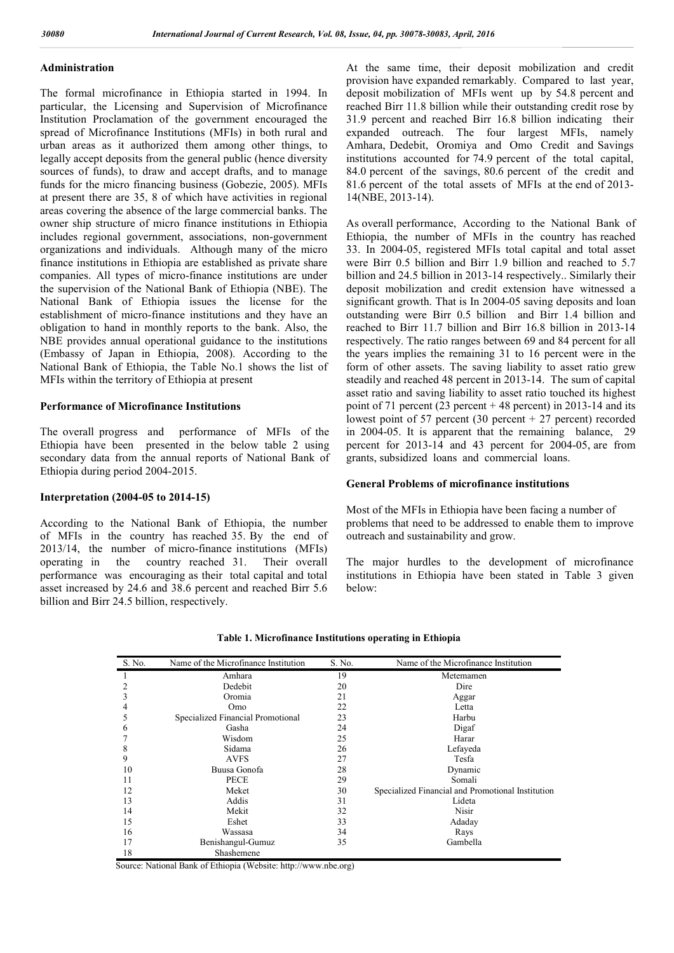## **Administration**

The formal microfinance in Ethiopia started in 1994. In particular, the Licensing and Supervision of Microfinance Institution Proclamation of the government encouraged the spread of Microfinance Institutions (MFIs) in both rural and urban areas as it authorized them among other things, to legally accept deposits from the general public (hence diversity sources of funds), to draw and accept drafts, and to manage funds for the micro financing business (Gobezie, 2005). MFIs at present there are 35, 8 of which have activities in regional areas covering the absence of the large commercial banks. The owner ship structure of micro finance institutions in Ethiopia includes regional government, associations, non-government organizations and individuals. Although many of the micro finance institutions in Ethiopia are established as private share companies. All types of micro-finance institutions are under the supervision of the National Bank of Ethiopia (NBE). The National Bank of Ethiopia issues the license for the establishment of micro-finance institutions and they have an obligation to hand in monthly reports to the bank. Also, the NBE provides annual operational guidance to the institutions (Embassy of Japan in Ethiopia, 2008). According to the National Bank of Ethiopia, the Table No.1 shows the list of MFIs within the territory of Ethiopia at present

#### **Performance of Microfinance Institutions**

The overall progress and performance of MFIs of the Ethiopia have been presented in the below table 2 using secondary data from the annual reports of National Bank of Ethiopia during period 2004-2015.

#### **Interpretation (2004-05 to 2014-15)**

According to the National Bank of Ethiopia, the number of MFIs in the country has reached 35. By the end of 2013/14, the number of micro-finance institutions (MFIs) operating in the country reached 31. Their overall performance was encouraging as their total capital and total asset increased by 24.6 and 38.6 percent and reached Birr 5.6 billion and Birr 24.5 billion, respectively.

At the same time, their deposit mobilization and credit provision have expanded remarkably. Compared to last year, deposit mobilization of MFIs went up by 54.8 percent and reached Birr 11.8 billion while their outstanding credit rose by 31.9 percent and reached Birr 16.8 billion indicating their expanded outreach. The four largest MFIs, namely Amhara, Dedebit, Oromiya and Omo Credit and Savings institutions accounted for 74.9 percent of the total capital, 84.0 percent of the savings, 80.6 percent of the credit and 81.6 percent of the total assets of MFIs at the end of 2013- 14(NBE, 2013-14).

As overall performance, According to the National Bank of Ethiopia, the number of MFIs in the country has reached 33. In 2004-05, registered MFIs total capital and total asset were Birr 0.5 billion and Birr 1.9 billion and reached to 5.7 billion and 24.5 billion in 2013-14 respectively.. Similarly their deposit mobilization and credit extension have witnessed a significant growth. That is In 2004-05 saving deposits and loan outstanding were Birr 0.5 billion and Birr 1.4 billion and reached to Birr 11.7 billion and Birr 16.8 billion in 2013-14 respectively. The ratio ranges between 69 and 84 percent for all the years implies the remaining 31 to 16 percent were in the form of other assets. The saving liability to asset ratio grew steadily and reached 48 percent in 2013-14. The sum of capital asset ratio and saving liability to asset ratio touched its highest point of 71 percent (23 percent  $+ 48$  percent) in 2013-14 and its lowest point of 57 percent  $(30$  percent + 27 percent) recorded in 2004-05. It is apparent that the remaining balance, 29 percent for 2013-14 and 43 percent for 2004-05, are from grants, subsidized loans and commercial loans.

## **General Problems of microfinance institutions**

Most of the MFIs in Ethiopia have been facing a number of problems that need to be addressed to enable them to improve outreach and sustainability and grow.

The major hurdles to the development of microfinance institutions in Ethiopia have been stated in Table 3 given below:

| S. No. | Name of the Microfinance Institution | S. No. | Name of the Microfinance Institution              |
|--------|--------------------------------------|--------|---------------------------------------------------|
|        | Amhara                               | 19     | Metemamen                                         |
| 2      | Dedebit                              | 20     | Dire                                              |
| 3      | Oromia                               | 21     | Aggar                                             |
| 4      | Omo                                  | 22     | Letta                                             |
| 5      | Specialized Financial Promotional    | 23     | Harbu                                             |
| 6      | Gasha                                | 24     | Digaf                                             |
|        | Wisdom                               | 25     | Harar                                             |
| 8      | Sidama                               | 26     | Lefayeda                                          |
| 9      | <b>AVFS</b>                          | 27     | Tesfa                                             |
| 10     | Buusa Gonofa                         | 28     | Dynamic                                           |
| 11     | PECE                                 | 29     | Somali                                            |
| 12     | Meket                                | 30     | Specialized Financial and Promotional Institution |
| 13     | Addis                                | 31     | Lideta                                            |
| 14     | Mekit                                | 32     | <b>Nisir</b>                                      |
| 15     | Eshet                                | 33     | Adaday                                            |
| 16     | Wassasa                              | 34     | Rays                                              |
| 17     | Benishangul-Gumuz                    | 35     | Gambella                                          |
| 18     | Shashemene                           |        |                                                   |

**Table 1. Microfinance Institutions operating in Ethiopia**

Source: National Bank of Ethiopia (Website: http://www.nbe.org)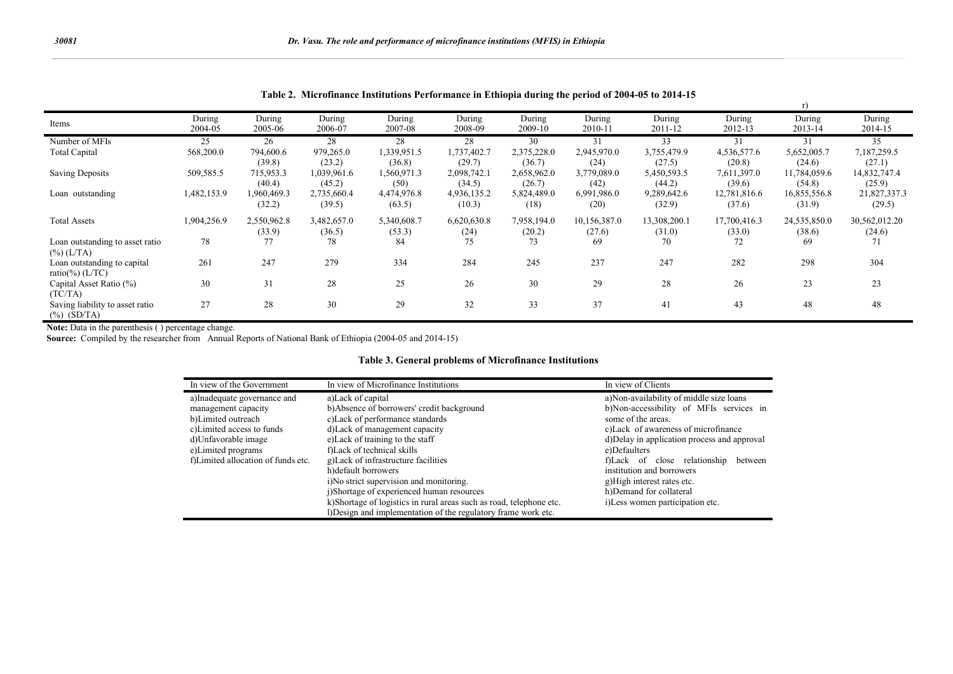| Items                                             | During<br>2004-05 | During<br>2005-06     | During<br>2006-07     | During<br>2007-08     | During<br>2008-09     | During<br>2009-10     | During<br>2010-11      | During<br>2011-12      | During<br>2012-13      | During<br>2013-14      | During<br>2014-15       |
|---------------------------------------------------|-------------------|-----------------------|-----------------------|-----------------------|-----------------------|-----------------------|------------------------|------------------------|------------------------|------------------------|-------------------------|
| Number of MFIs                                    | 25                | 26                    | 28                    | 28                    | 28                    | 30                    | 31                     | 33                     | 31                     | 31                     | 35                      |
| <b>Total Capital</b>                              | 568,200.0         | 794,600.6<br>(39.8)   | 979,265.0<br>(23.2)   | 1,339,951.5<br>(36.8) | 1,737,402.7<br>(29.7) | 2,375,228.0<br>(36.7) | 2,945,970.0<br>(24)    | 3,755,479.9<br>(27.5)  | 4,536,577.6<br>(20.8)  | 5,652,005.7<br>(24.6)  | 7,187,259.5<br>(27.1)   |
| <b>Saving Deposits</b>                            | 509,585.5         | 715,953.3<br>(40.4)   | 1,039,961.6<br>(45.2) | 1,560,971.3<br>(50)   | 2,098,742.1<br>(34.5) | 2,658,962.0<br>(26.7) | 3,779,089.0<br>(42)    | 5,450,593.5<br>(44.2)  | 7,611,397.0<br>(39.6)  | 11,784,059.6<br>(54.8) | 14,832,747.4<br>(25.9)  |
| Loan outstanding                                  | 1,482,153.9       | 1,960,469.3<br>(32.2) | 2,735,660.4<br>(39.5) | 4,474,976.8<br>(63.5) | 4,936,135.2<br>(10.3) | 5,824,489.0<br>(18)   | 6,991,986.0<br>(20)    | 9,289,642.6<br>(32.9)  | 12,781,816.6<br>(37.6) | 16,855,556.8<br>(31.9) | 21,827,337.3<br>(29.5)  |
| <b>Total Assets</b>                               | 1,904,256.9       | 2,550,962.8<br>(33.9) | 3,482,657.0<br>(36.5) | 5,340,608.7<br>(53.3) | 6,620,630.8<br>(24)   | 7,958,194.0<br>(20.2) | 10,156,387.0<br>(27.6) | 13,308,200.1<br>(31.0) | 17,700,416.3<br>(33.0) | 24,535,850.0<br>(38.6) | 30,562,012.20<br>(24.6) |
| Loan outstanding to asset ratio<br>$(\%) (L/TA)$  | 78                | 77                    | 78                    | 84                    | 75                    | 73                    | 69                     | 70                     | 72                     | 69                     | 71                      |
| Loan outstanding to capital<br>ratio(%) $(LTC)$   | 261               | 247                   | 279                   | 334                   | 284                   | 245                   | 237                    | 247                    | 282                    | 298                    | 304                     |
| Capital Asset Ratio (%)<br>(TC/TA)                | 30                | 31                    | 28                    | 25                    | 26                    | 30                    | 29                     | 28                     | 26                     | 23                     | 23                      |
| Saving liability to asset ratio<br>$(\%)$ (SD/TA) | 27                | 28                    | 30                    | 29                    | 32                    | 33                    | 37                     | 41                     | 43                     | 48                     | 48                      |

**Table 2. Microfinance Institutions Performance in Ethiopia during the period of 2004-05 to 2014-15**

**Note:** Data in the parenthesis ( ) percentage change.

**Source:** Compiled by the researcher from Annual Reports of National Bank of Ethiopia (2004-05 and 2014-15)

#### **Table 3. General problems of Microfinance Institutions**

| In view of the Government          | In view of Microfinance Institutions                                | In view of Clients                           |  |  |
|------------------------------------|---------------------------------------------------------------------|----------------------------------------------|--|--|
| a)Inadequate governance and        | a) Lack of capital                                                  | a)Non-availability of middle size loans      |  |  |
| management capacity                | b)Absence of borrowers' credit background                           | b)Non-accessibility of MFIs services in      |  |  |
| b)Limited outreach                 | c) Lack of performance standards                                    | some of the areas.                           |  |  |
| c)Limited access to funds          | d) Lack of management capacity                                      | c) Lack of awareness of microfinance         |  |  |
| d)Unfavorable image                | e) Lack of training to the staff                                    | d) Delay in application process and approval |  |  |
| e)Limited programs                 | f)Lack of technical skills                                          | e)Defaulters                                 |  |  |
| f)Limited allocation of funds etc. | g) Lack of infrastructure facilities                                | f)Lack of close relationship<br>between      |  |  |
|                                    | h) default borrowers                                                | institution and borrowers                    |  |  |
|                                    | i)No strict supervision and monitoring.                             | g)High interest rates etc.                   |  |  |
|                                    | i)Shortage of experienced human resources                           | h)Demand for collateral                      |  |  |
|                                    | k)Shortage of logistics in rural areas such as road, telephone etc. | i)Less women participation etc.              |  |  |
|                                    | Design and implementation of the regulatory frame work etc.         |                                              |  |  |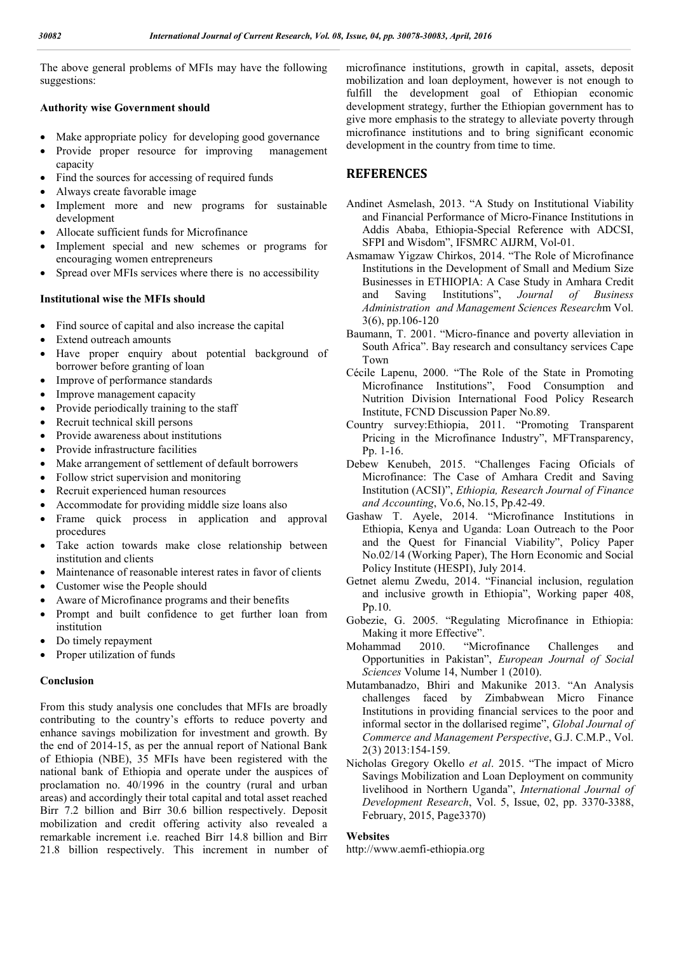The above general problems of MFIs may have the following suggestions:

#### **Authority wise Government should**

- Make appropriate policy for developing good governance
- Provide proper resource for improving management capacity
- Find the sources for accessing of required funds
- Always create favorable image
- Implement more and new programs for sustainable development
- Allocate sufficient funds for Microfinance
- Implement special and new schemes or programs for encouraging women entrepreneurs
- Spread over MFIs services where there is no accessibility

## **Institutional wise the MFIs should**

- Find source of capital and also increase the capital
- Extend outreach amounts
- Have proper enquiry about potential background of borrower before granting of loan
- Improve of performance standards
- Improve management capacity
- Provide periodically training to the staff
- Recruit technical skill persons
- Provide awareness about institutions
- Provide infrastructure facilities
- Make arrangement of settlement of default borrowers
- Follow strict supervision and monitoring
- Recruit experienced human resources
- Accommodate for providing middle size loans also
- Frame quick process in application and approval procedures
- Take action towards make close relationship between institution and clients
- Maintenance of reasonable interest rates in favor of clients
- Customer wise the People should
- Aware of Microfinance programs and their benefits
- Prompt and built confidence to get further loan from institution
- Do timely repayment
- Proper utilization of funds

#### **Conclusion**

From this study analysis one concludes that MFIs are broadly contributing to the country's efforts to reduce poverty and enhance savings mobilization for investment and growth. By the end of 2014-15, as per the annual report of National Bank of Ethiopia (NBE), 35 MFIs have been registered with the national bank of Ethiopia and operate under the auspices of proclamation no. 40/1996 in the country (rural and urban areas) and accordingly their total capital and total asset reached Birr 7.2 billion and Birr 30.6 billion respectively. Deposit mobilization and credit offering activity also revealed a remarkable increment i.e. reached Birr 14.8 billion and Birr 21.8 billion respectively. This increment in number of microfinance institutions, growth in capital, assets, deposit mobilization and loan deployment, however is not enough to fulfill the development goal of Ethiopian economic development strategy, further the Ethiopian government has to give more emphasis to the strategy to alleviate poverty through microfinance institutions and to bring significant economic development in the country from time to time.

# **REFERENCES**

- Andinet Asmelash, 2013. "A Study on Institutional Viability and Financial Performance of Micro-Finance Institutions in Addis Ababa, Ethiopia-Special Reference with ADCSI, SFPI and Wisdom", IFSMRC AIJRM, Vol-01.
- Asmamaw Yigzaw Chirkos, 2014. "The Role of Microfinance Institutions in the Development of Small and Medium Size Businesses in ETHIOPIA: A Case Study in Amhara Credit and Saving Institutions", *Journal of Business Administration and Management Sciences Research*m Vol. 3(6), pp.106-120
- Baumann, T. 2001. "Micro-finance and poverty alleviation in South Africa". Bay research and consultancy services Cape Town
- Cécile Lapenu, 2000. "The Role of the State in Promoting Microfinance Institutions", Food Consumption and Nutrition Division International Food Policy Research Institute, FCND Discussion Paper No.89.
- Country survey:Ethiopia, 2011. "Promoting Transparent Pricing in the Microfinance Industry", MFTransparency, Pp. 1-16.
- Debew Kenubeh, 2015. "Challenges Facing Oficials of Microfinance: The Case of Amhara Credit and Saving Institution (ACSI)", *Ethiopia, Research Journal of Finance and Accounting*, Vo.6, No.15, Pp.42-49.
- Gashaw T. Ayele, 2014. "Microfinance Institutions in Ethiopia, Kenya and Uganda: Loan Outreach to the Poor and the Quest for Financial Viability", Policy Paper No.02/14 (Working Paper), The Horn Economic and Social Policy Institute (HESPI), July 2014.
- Getnet alemu Zwedu, 2014. "Financial inclusion, regulation and inclusive growth in Ethiopia", Working paper 408, Pp.10.
- Gobezie, G. 2005. "Regulating Microfinance in Ethiopia: Making it more Effective".
- Mohammad 2010. "Microfinance Challenges and Opportunities in Pakistan", *European Journal of Social Sciences* Volume 14, Number 1 (2010).
- Mutambanadzo, Bhiri and Makunike 2013. "An Analysis challenges faced by Zimbabwean Micro Finance Institutions in providing financial services to the poor and informal sector in the dollarised regime", *Global Journal of Commerce and Management Perspective*, G.J. C.M.P., Vol. 2(3) 2013:154-159.
- Nicholas Gregory Okello *et al*. 2015. "The impact of Micro Savings Mobilization and Loan Deployment on community livelihood in Northern Uganda", *International Journal of Development Research*, Vol. 5, Issue, 02, pp. 3370-3388, February, 2015, Page3370)

## **Websites**

http://www.aemfi-ethiopia.org